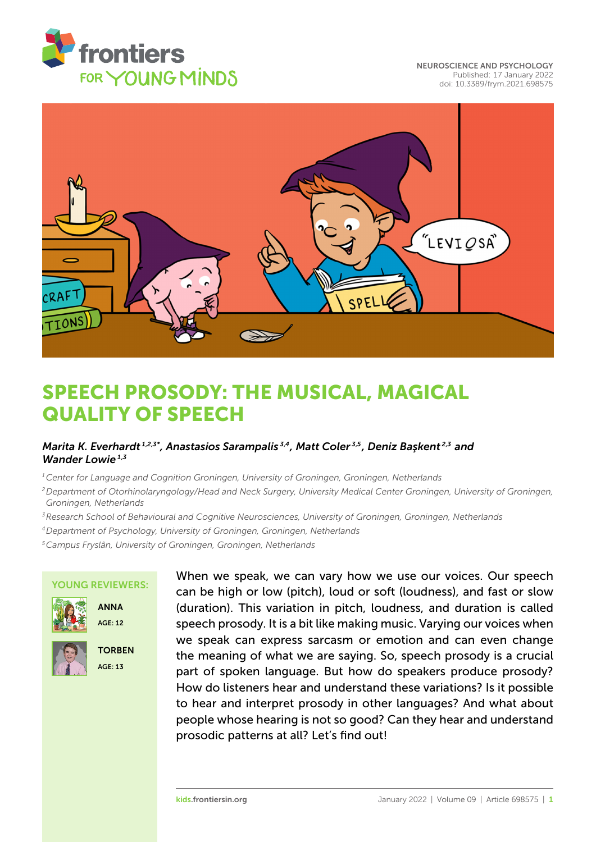

[NEUROSCIENCE AND PSYCHOLOGY](https://kids.frontiersin.org/article/10.3389/frym.2021.698575) [Published: 17 January 2022](https://kids.frontiersin.org/article/10.3389/frym.2021.698575) [doi: 10.3389/frym.2021.698575](https://doi.org/10.3389/frym.2021.698575)



# [SPEECH PROSODY: THE MUSICAL, MAGICAL](https://kids.frontiersin.org/article/10.3389/frym.2021.698575) QUALITY OF SPEECH

### *Marita K. Everhardt 1,2,3\*, Anastasios Sarampalis 3,4, Matt Coler 3,5, Deniz Ba¸skent 2,3 and Wander Lowie 1,3*

*<sup>1</sup>Center for Language and Cognition Groningen, University of Groningen, Groningen, Netherlands*

- *<sup>2</sup>Department of Otorhinolaryngology/Head and Neck Surgery, University Medical Center Groningen, University of Groningen, Groningen, Netherlands*
- *<sup>3</sup>Research School of Behavioural and Cognitive Neurosciences, University of Groningen, Groningen, Netherlands*
- *<sup>4</sup>Department of Psychology, University of Groningen, Groningen, Netherlands*

*<sup>5</sup>Campus Fryslân, University of Groningen, Groningen, Netherlands*

### YOUNG REVIEWERS:







**TORBEN** AGE: 13

When we speak, we can vary how we use our voices. Our speech can be high or low (pitch), loud or soft (loudness), and fast or slow (duration). This variation in pitch, loudness, and duration is called speech prosody. It is a bit like making music. Varying our voices when we speak can express sarcasm or emotion and can even change the meaning of what we are saying. So, speech prosody is a crucial part of spoken language. But how do speakers produce prosody? How do listeners hear and understand these variations? Is it possible to hear and interpret prosody in other languages? And what about people whose hearing is not so good? Can they hear and understand prosodic patterns at all? Let's find out!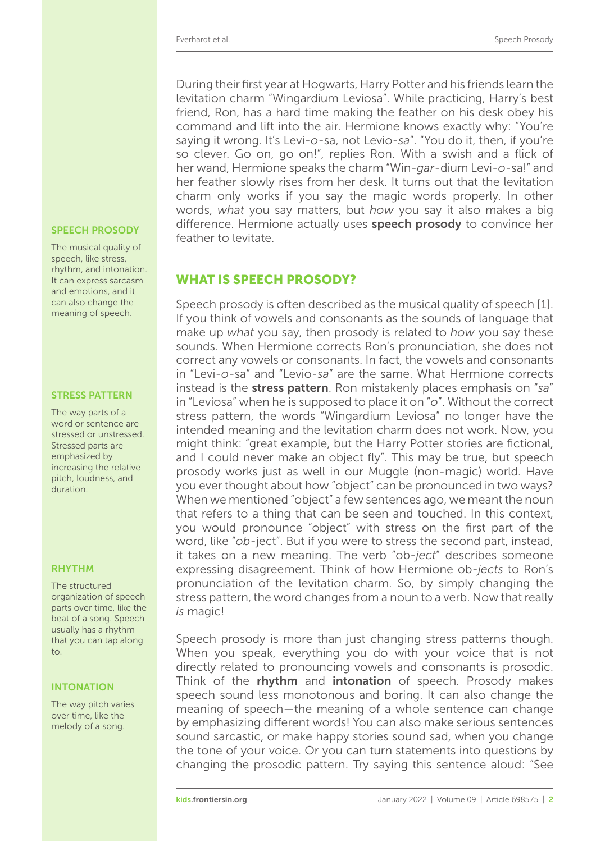During their first year at Hogwarts, Harry Potter and his friends learn the levitation charm "Wingardium Leviosa". While practicing, Harry's best friend, Ron, has a hard time making the feather on his desk obey his command and lift into the air. Hermione knows exactly why: "You're saying it wrong. It's Levi-*o*-sa, not Levio-*sa*". "You do it, then, if you're so clever. Go on, go on!", replies Ron. With a swish and a flick of her wand, Hermione speaks the charm "Win-*gar*-dium Levi-*o*-sa!" and her feather slowly rises from her desk. It turns out that the levitation charm only works if you say the magic words properly. In other words, *what* you say matters, but *how* you say it also makes a big speech prosopy difference. Hermione actually uses speech prosody to convince her feather to levitate.

### WHAT IS SPEECH PROSODY?

Speech prosody is often described as the musical quality of speech [\[1\]](#page-5-0). If you think of vowels and consonants as the sounds of language that make up *what* you say, then prosody is related to *how* you say these sounds. When Hermione corrects Ron's pronunciation, she does not correct any vowels or consonants. In fact, the vowels and consonants in "Levi-*o*-sa" and "Levio-*sa*" are the same. What Hermione corrects instead is the stress pattern. Ron mistakenly places emphasis on "*sa*" in "Leviosa" when he is supposed to place it on "*o*". Without the correct stress pattern, the words "Wingardium Leviosa" no longer have the intended meaning and the levitation charm does not work. Now, you might think: "great example, but the Harry Potter stories are fictional, and I could never make an object fly". This may be true, but speech prosody works just as well in our Muggle (non-magic) world. Have you ever thought about how "object" can be pronounced in two ways? When we mentioned "object" a few sentences ago, we meant the noun that refers to a thing that can be seen and touched. In this context, you would pronounce "object" with stress on the first part of the word, like "*ob*-ject". But if you were to stress the second part, instead, it takes on a new meaning. The verb "ob-*ject*" describes someone expressing disagreement. Think of how Hermione ob-*jects* to Ron's pronunciation of the levitation charm. So, by simply changing the stress pattern, the word changes from a noun to a verb. Now that really *is* magic!

Speech prosody is more than just changing stress patterns though. When you speak, everything you do with your voice that is not directly related to pronouncing vowels and consonants is prosodic. Think of the rhythm and intonation of speech. Prosody makes speech sound less monotonous and boring. It can also change the meaning of speech—the meaning of a whole sentence can change by emphasizing different words! You can also make serious sentences sound sarcastic, or make happy stories sound sad, when you change the tone of your voice. Or you can turn statements into questions by changing the prosodic pattern. Try saying this sentence aloud: "See

The musical quality of speech, like stress, rhythm, and intonation. It can express sarcasm and emotions, and it can also change the meaning of speech.

### STRESS PATTERN

The way parts of a word or sentence are stressed or unstressed. Stressed parts are emphasized by increasing the relative pitch, loudness, and duration.

### RHYTHM

The structured organization of speech parts over time, like the beat of a song. Speech usually has a rhythm that you can tap along to.

### INTONATION

The way pitch varies over time, like the melody of a song.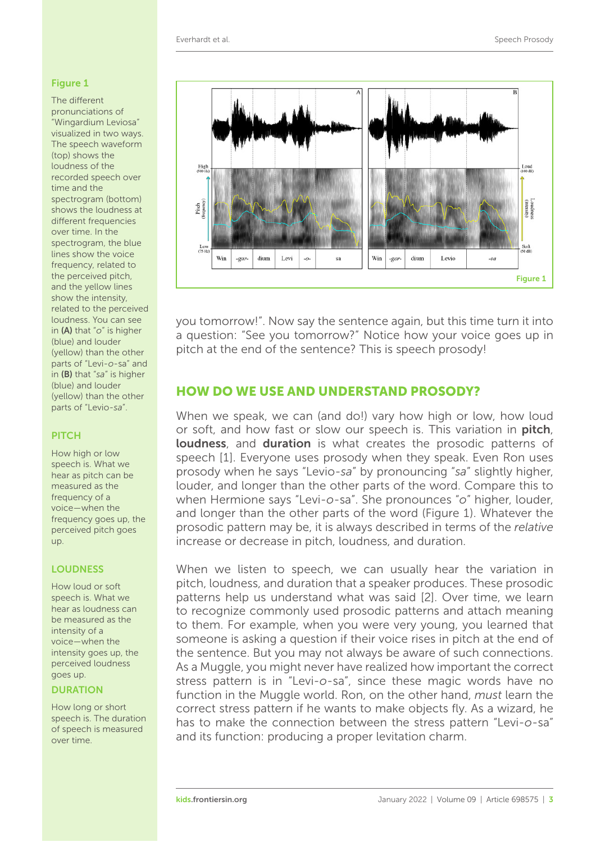High<br>
"

Pitch

Win

-gar-

### <span id="page-2-0"></span>Figure 1

The different pronunciations of "Wingardium Leviosa" visualized in two ways. The speech waveform (top) shows the loudness of the recorded speech over time and the spectrogram (bottom) shows the loudness at different frequencies over time. In the spectrogram, the blue lines show the voice frequency, related to the perceived pitch, and the yellow lines show the intensity, related to the perceived loudness. You can see in (A) that "*o*" is higher (blue) and louder (yellow) than the other parts of "Levi-*o*-sa" and in (B) that "*sa*" is higher (blue) and louder (yellow) than the other parts of "Levio-*sa*".

### **PITCH**

How high or low speech is. What we hear as pitch can be measured as the frequency of a voice—when the frequency goes up, the perceived pitch goes up.

### LOUDNESS

How loud or soft speech is. What we hear as loudness can be measured as the intensity of a voice—when the intensity goes up, the perceived loudness goes up.

### **DURATION**

How long or short speech is. The duration of speech is measured over time.



dium

Levi

 $-0$ 

a question: "See you tomorrow?" Notice how your voice goes up in pitch at the end of the sentence? This is speech prosody!

Win -gardium

Levio

# HOW DO WE USE AND UNDERSTAND PROSODY?

When we speak, we can (and do!) vary how high or low, how loud or soft, and how fast or slow our speech is. This variation in **pitch**, **loudness**, and **duration** is what creates the prosodic patterns of speech [\[1\]](#page-5-0). Everyone uses prosody when they speak. Even Ron uses prosody when he says "Levio-*sa*" by pronouncing "*sa*" slightly higher, louder, and longer than the other parts of the word. Compare this to when Hermione says "Levi-*o*-sa". She pronounces "*o*" higher, louder, and longer than the other parts of the word [\(Figure 1\)](#page-2-0). Whatever the prosodic pattern may be, it is always described in terms of the *relative* increase or decrease in pitch, loudness, and duration.

When we listen to speech, we can usually hear the variation in pitch, loudness, and duration that a speaker produces. These prosodic patterns help us understand what was said [\[2\]](#page-5-1). Over time, we learn to recognize commonly used prosodic patterns and attach meaning to them. For example, when you were very young, you learned that someone is asking a question if their voice rises in pitch at the end of the sentence. But you may not always be aware of such connections. As a Muggle, you might never have realized how important the correct stress pattern is in "Levi-*o*-sa", since these magic words have no function in the Muggle world. Ron, on the other hand, *must* learn the correct stress pattern if he wants to make objects fly. As a wizard, he has to make the connection between the stress pattern "Levi-*o*-sa" and its function: producing a proper levitation charm.

 $\overline{B}$ 

Figure 1

Loud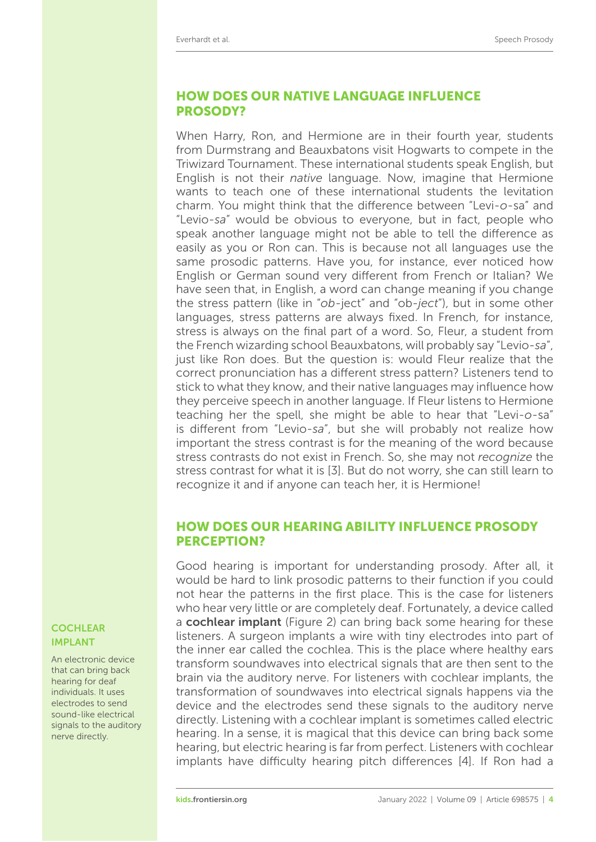# HOW DOES OUR NATIVE LANGUAGE INFLUENCE PROSODY?

When Harry, Ron, and Hermione are in their fourth year, students from Durmstrang and Beauxbatons visit Hogwarts to compete in the Triwizard Tournament. These international students speak English, but English is not their *native* language. Now, imagine that Hermione wants to teach one of these international students the levitation charm. You might think that the difference between "Levi-o-sa" and "Levio-*sa*" would be obvious to everyone, but in fact, people who speak another language might not be able to tell the difference as easily as you or Ron can. This is because not all languages use the same prosodic patterns. Have you, for instance, ever noticed how English or German sound very different from French or Italian? We have seen that, in English, a word can change meaning if you change the stress pattern (like in "*ob*-ject" and "ob-*ject*"), but in some other languages, stress patterns are always fixed. In French, for instance, stress is always on the final part of a word. So, Fleur, a student from the French wizarding school Beauxbatons, will probably say "Levio-*sa*", just like Ron does. But the question is: would Fleur realize that the correct pronunciation has a different stress pattern? Listeners tend to stick to what they know, and their native languages may influence how they perceive speech in another language. If Fleur listens to Hermione teaching her the spell, she might be able to hear that "Levi-*o*-sa" is different from "Levio-sa", but she will probably not realize how important the stress contrast is for the meaning of the word because stress contrasts do not exist in French. So, she may not *recognize* the stress contrast for what it is [\[3\]](#page-5-2). But do not worry, she can still learn to recognize it and if anyone can teach her, it is Hermione!

## HOW DOES OUR HEARING ABILITY INFLUENCE PROSODY PERCEPTION?

Good hearing is important for understanding prosody. After all, it would be hard to link prosodic patterns to their function if you could not hear the patterns in the first place. This is the case for listeners who hear very little or are completely deaf. Fortunately, a device called **COCHLEAR** a cochlear implant [\(Figure 2\)](#page-4-0) can bring back some hearing for these listeners. A surgeon implants a wire with tiny electrodes into part of the inner ear called the cochlea. This is the place where healthy ears transform soundwaves into electrical signals that are then sent to the brain via the auditory nerve. For listeners with cochlear implants, the transformation of soundwaves into electrical signals happens via the device and the electrodes send these signals to the auditory nerve directly. Listening with a cochlear implant is sometimes called electric hearing. In a sense, it is magical that this device can bring back some hearing, but electric hearing is far from perfect. Listeners with cochlear implants have difficulty hearing pitch differences [\[4\]](#page-5-3). If Ron had a

# IMPLANT

An electronic device that can bring back hearing for deaf individuals. It uses electrodes to send sound-like electrical signals to the auditory nerve directly.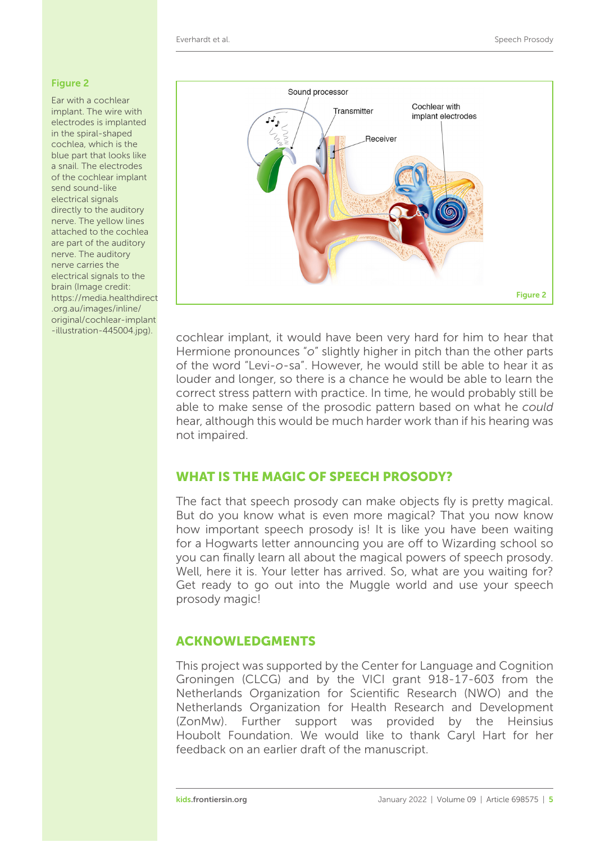### <span id="page-4-0"></span>Figure 2

Ear with a cochlear implant. The wire with electrodes is implanted in the spiral-shaped cochlea, which is the blue part that looks like a snail. The electrodes of the cochlear implant send sound-like electrical signals directly to the auditory nerve. The yellow lines attached to the cochlea are part of the auditory nerve. The auditory nerve carries the electrical signals to the brain (Image credit: [https://media.healthdirect](https://media.healthdirect.org.au/images/inline/original/cochlear-implant-illustration-445004.jpg) .org.au/images/inline/ original/cochlear-implant



-illustration-445004.jpg). cochlear implant, it would have been very hard for him to hear that Hermione pronounces "*o*" slightly higher in pitch than the other parts of the word "Levi-*o*-sa". However, he would still be able to hear it as louder and longer, so there is a chance he would be able to learn the correct stress pattern with practice. In time, he would probably still be able to make sense of the prosodic pattern based on what he *could* hear, although this would be much harder work than if his hearing was not impaired.

# WHAT IS THE MAGIC OF SPEECH PROSODY?

The fact that speech prosody can make objects fly is pretty magical. But do you know what is even more magical? That you now know how important speech prosody is! It is like you have been waiting for a Hogwarts letter announcing you are off to Wizarding school so you can finally learn all about the magical powers of speech prosody. Well, here it is. Your letter has arrived. So, what are you waiting for? Get ready to go out into the Muggle world and use your speech prosody magic!

### ACKNOWLEDGMENTS

This project was supported by the Center for Language and Cognition Groningen (CLCG) and by the VICI grant 918-17-603 from the Netherlands Organization for Scientific Research (NWO) and the Netherlands Organization for Health Research and Development (ZonMw). Further support was provided by the Heinsius Houbolt Foundation. We would like to thank Caryl Hart for her feedback on an earlier draft of the manuscript.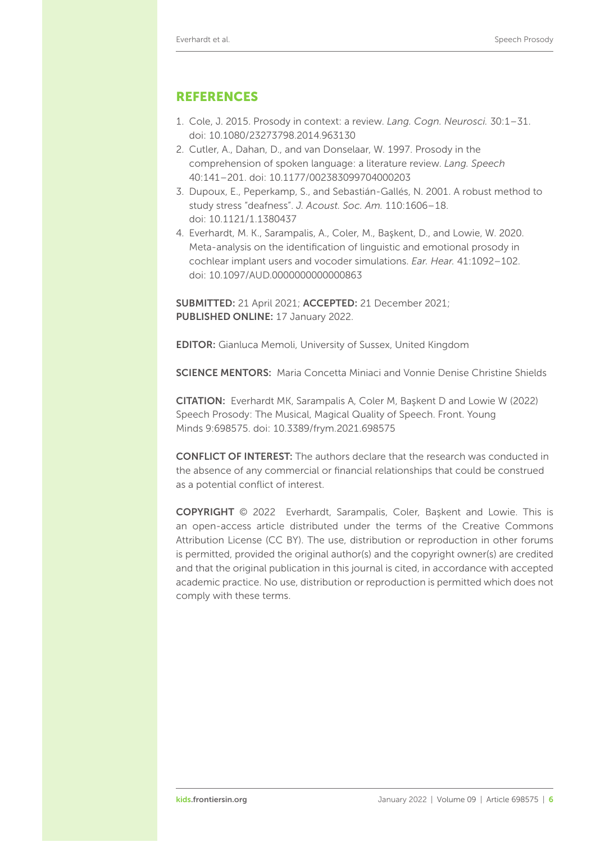### REFERENCES

- <span id="page-5-0"></span>1. Cole, J. 2015. Prosody in context: a review. *Lang. Cogn. Neurosci.* 30:1–31. doi: [10.1080/23273798.2014.963130](https://doi.org/10.1080/23273798.2014.963130)
- <span id="page-5-1"></span>2. Cutler, A., Dahan, D., and van Donselaar, W. 1997. Prosody in the comprehension of spoken language: a literature review. *Lang. Speech* 40:141–201. doi: [10.1177/002383099704000203](https://doi.org/10.1177/002383099704000203)
- <span id="page-5-2"></span>3. Dupoux, E., Peperkamp, S., and Sebastián-Gallés, N. 2001. A robust method to study stress "deafness". *J. Acoust. Soc. Am.* 110:1606–18. doi: [10.1121/1.1380437](https://doi.org/10.1121/1.1380437)
- <span id="page-5-3"></span>4. Everhardt, M. K., Sarampalis, A., Coler, M., Başkent, D., and Lowie, W. 2020. Meta-analysis on the identification of linguistic and emotional prosody in cochlear implant users and vocoder simulations. *Ear. Hear.* 41:1092–102. doi: [10.1097/AUD.0000000000000863](https://doi.org/10.1097/AUD.0000000000000863)

SUBMITTED: 21 April 2021; ACCEPTED: 21 December 2021; PUBLISHED ONLINE: 17 January 2022.

EDITOR: [Gianluca Memoli,](https://loop.frontiersin.org/people/496382) University of Sussex, United Kingdom

SCIENCE MENTORS: Maria Concetta Miniaci and Vonnie Denise Christine Shields

CITATION: Everhardt MK, Sarampalis A, Coler M, Baskent D and Lowie W (2022) Speech Prosody: The Musical, Magical Quality of Speech. Front. Young Minds 9:698575. doi: [10.3389/frym.2021.698575](https://doi.org/10.3389/frym.2021.698575)

CONFLICT OF INTEREST: The authors declare that the research was conducted in the absence of any commercial or financial relationships that could be construed as a potential conflict of interest.

COPYRIGHT © 2022 Everhardt, Sarampalis, Coler, Baskent and Lowie. This is an open-access article distributed under the terms of the Creative Commons [Attribution License \(CC BY\). The use, distribution or reproduction in other forums](https://creativecommons.org/licenses/by/4.0/) is permitted, provided the original author(s) and the copyright owner(s) are credited and that the original publication in this journal is cited, in accordance with accepted academic practice. No use, distribution or reproduction is permitted which does not comply with these terms.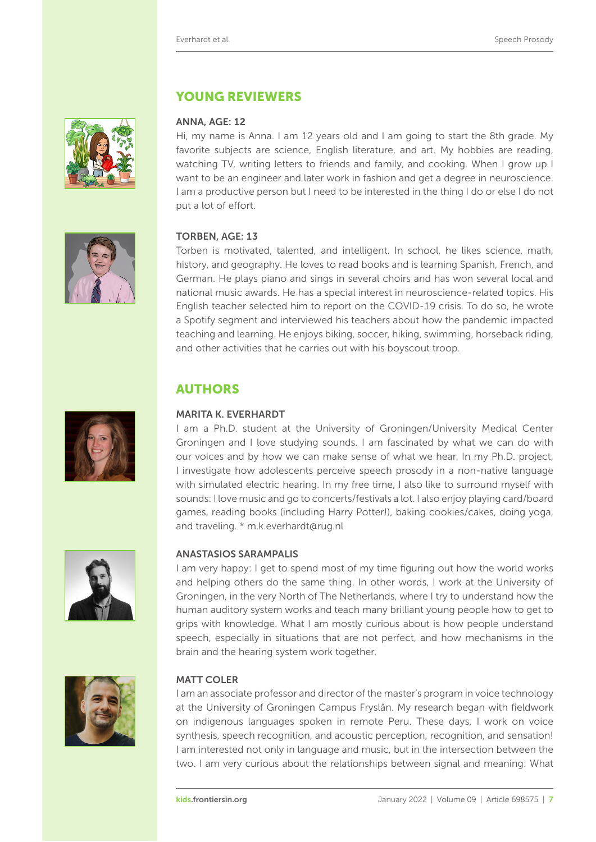

# YOUNG REVIEWERS

### ANNA, AGE: 12

Hi, my name is Anna. I am 12 years old and I am going to start the 8th grade. My favorite subjects are science, English literature, and art. My hobbies are reading, watching TV, writing letters to friends and family, and cooking. When I grow up I want to be an engineer and later work in fashion and get a degree in neuroscience. I am a productive person but I need to be interested in the thing I do or else I do not put a lot of effort.

### TORBEN, AGE: 13

Torben is motivated, talented, and intelligent. In school, he likes science, math, history, and geography. He loves to read books and is learning Spanish, French, and German. He plays piano and sings in several choirs and has won several local and national music awards. He has a special interest in neuroscience-related topics. His English teacher selected him to report on the COVID-19 crisis. To do so, he wrote a Spotify segment and interviewed his teachers about how the pandemic impacted teaching and learning. He enjoys biking, soccer, hiking, swimming, horseback riding, and other activities that he carries out with his boyscout troop.

# AUTHORS

### MARITA K. EVERHARDT

I am a Ph.D. student at the University of Groningen/University Medical Center Groningen and I love studying sounds. I am fascinated by what we can do with our voices and by how we can make sense of what we hear. In my Ph.D. project, I investigate how adolescents perceive speech prosody in a non-native language with simulated electric hearing. In my free time, I also like to surround myself with sounds: I love music and go to concerts/festivals a lot. I also enjoy playing card/board games, reading books (including Harry Potter!), baking cookies/cakes, doing yoga, and traveling. \* [m.k.everhardt@rug.nl](mailto:m.k.everhardt@rug.nl)

### ANASTASIOS SARAMPALIS

I am very happy: I get to spend most of my time figuring out how the world works and helping others do the same thing. In other words, I work at the University of Groningen, in the very North of The Netherlands, where I try to understand how the human auditory system works and teach many brilliant young people how to get to grips with knowledge. What I am mostly curious about is how people understand speech, especially in situations that are not perfect, and how mechanisms in the brain and the hearing system work together.



### MATT COLER

I am an associate professor and director of the master's program in voice technology at the University of Groningen Campus Fryslân. My research began with fieldwork on indigenous languages spoken in remote Peru. These days, I work on voice synthesis, speech recognition, and acoustic perception, recognition, and sensation! I am interested not only in language and music, but in the intersection between the two. I am very curious about the relationships between signal and meaning: What